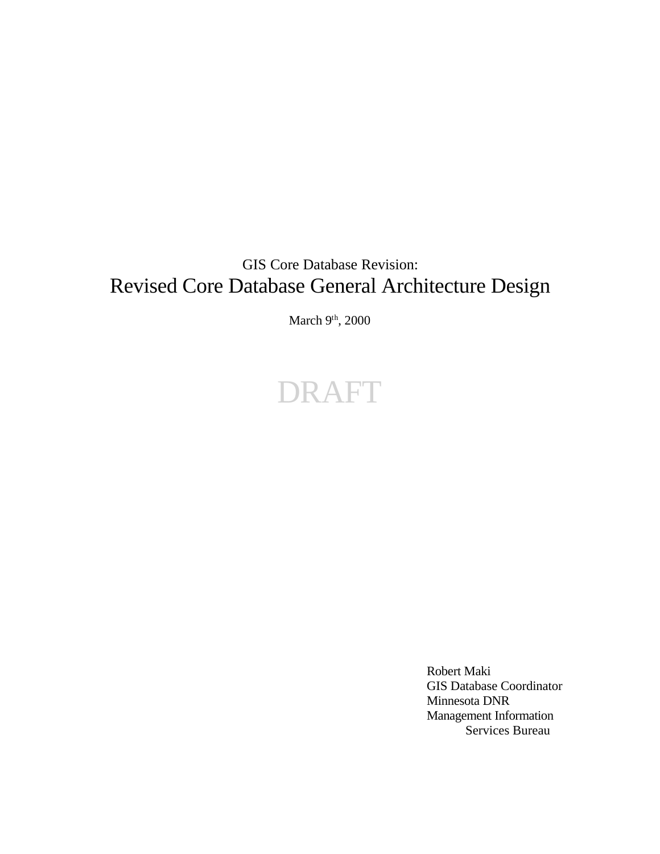# GIS Core Database Revision: Revised Core Database General Architecture Design

March 9<sup>th</sup>, 2000

# DRAFT

Robert Maki GIS Database Coordinator Minnesota DNR Management Information Services Bureau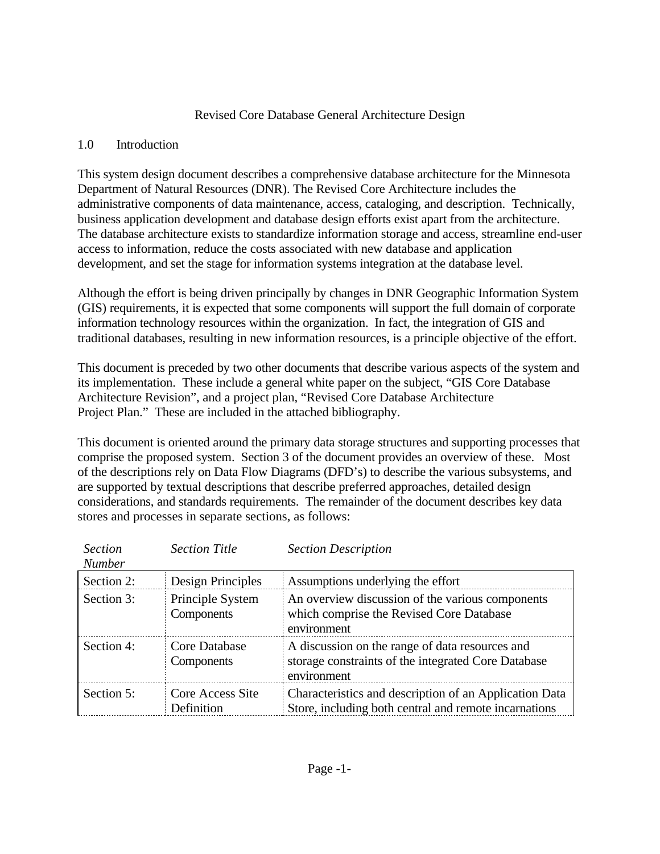#### Revised Core Database General Architecture Design

#### 1.0 Introduction

This system design document describes a comprehensive database architecture for the Minnesota Department of Natural Resources (DNR). The Revised Core Architecture includes the administrative components of data maintenance, access, cataloging, and description. Technically, business application development and database design efforts exist apart from the architecture. The database architecture exists to standardize information storage and access, streamline end-user access to information, reduce the costs associated with new database and application development, and set the stage for information systems integration at the database level.

Although the effort is being driven principally by changes in DNR Geographic Information System (GIS) requirements, it is expected that some components will support the full domain of corporate information technology resources within the organization. In fact, the integration of GIS and traditional databases, resulting in new information resources, is a principle objective of the effort.

This document is preceded by two other documents that describe various aspects of the system and its implementation. These include a general white paper on the subject, "GIS Core Database Architecture Revision", and a project plan, "Revised Core Database Architecture Project Plan." These are included in the attached bibliography.

This document is oriented around the primary data storage structures and supporting processes that comprise the proposed system. Section 3 of the document provides an overview of these. Most of the descriptions rely on Data Flow Diagrams (DFD's) to describe the various subsystems, and are supported by textual descriptions that describe preferred approaches, detailed design considerations, and standards requirements. The remainder of the document describes key data stores and processes in separate sections, as follows:

| <b>Section</b><br><b>Number</b> | <b>Section Title</b>           | <b>Section Description</b>                                                                                            |
|---------------------------------|--------------------------------|-----------------------------------------------------------------------------------------------------------------------|
| Section 2:                      | Design Principles              | Assumptions underlying the effort                                                                                     |
| Section 3:                      | Principle System<br>Components | An overview discussion of the various components<br>which comprise the Revised Core Database<br>environment           |
| Section 4:                      | Core Database<br>Components    | A discussion on the range of data resources and<br>storage constraints of the integrated Core Database<br>environment |
| Section 5:                      | Core Access Site<br>Definition | Characteristics and description of an Application Data<br>Store, including both central and remote incarnations       |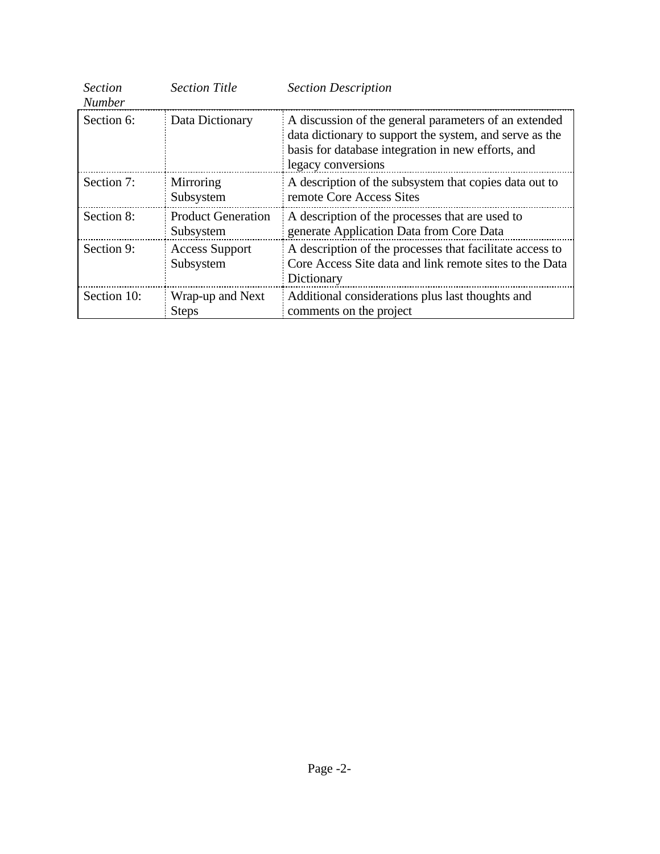| <b>Section</b><br><b>Number</b> | <b>Section Title</b>                   | <b>Section Description</b>                                                                                                                                                                   |
|---------------------------------|----------------------------------------|----------------------------------------------------------------------------------------------------------------------------------------------------------------------------------------------|
| Section 6:                      | Data Dictionary                        | A discussion of the general parameters of an extended<br>data dictionary to support the system, and serve as the<br>basis for database integration in new efforts, and<br>legacy conversions |
| Section 7:                      | Mirroring<br>Subsystem                 | A description of the subsystem that copies data out to<br>remote Core Access Sites                                                                                                           |
| Section 8:                      | <b>Product Generation</b><br>Subsystem | A description of the processes that are used to<br>generate Application Data from Core Data                                                                                                  |
| Section 9:                      | <b>Access Support</b><br>Subsystem     | A description of the processes that facilitate access to<br>Core Access Site data and link remote sites to the Data<br>Dictionary                                                            |
| Section 10:                     | Wrap-up and Next<br><b>Steps</b>       | Additional considerations plus last thoughts and<br>comments on the project                                                                                                                  |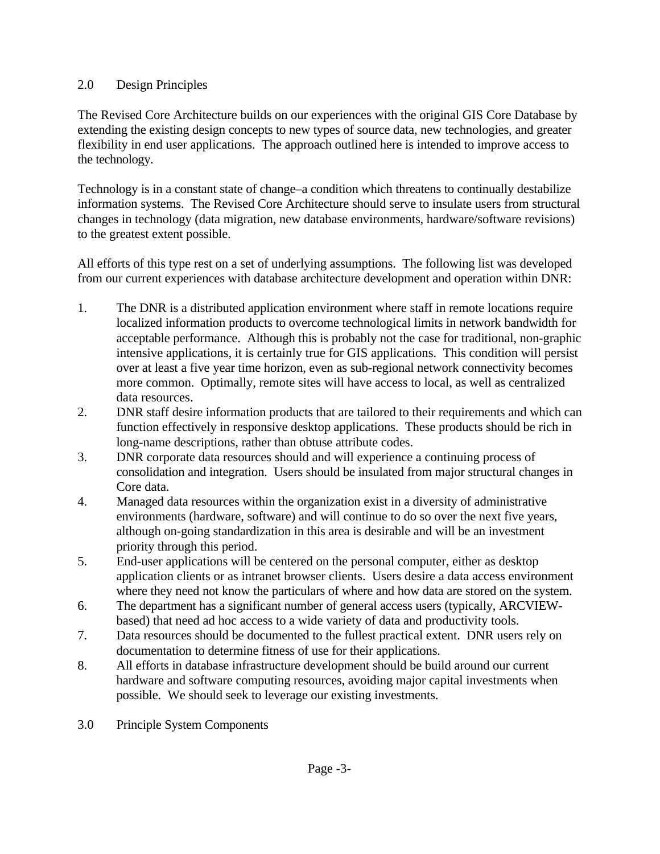#### 2.0 Design Principles

The Revised Core Architecture builds on our experiences with the original GIS Core Database by extending the existing design concepts to new types of source data, new technologies, and greater flexibility in end user applications. The approach outlined here is intended to improve access to the technology.

Technology is in a constant state of change–a condition which threatens to continually destabilize information systems. The Revised Core Architecture should serve to insulate users from structural changes in technology (data migration, new database environments, hardware/software revisions) to the greatest extent possible.

All efforts of this type rest on a set of underlying assumptions. The following list was developed from our current experiences with database architecture development and operation within DNR:

- 1. The DNR is a distributed application environment where staff in remote locations require localized information products to overcome technological limits in network bandwidth for acceptable performance. Although this is probably not the case for traditional, non-graphic intensive applications, it is certainly true for GIS applications. This condition will persist over at least a five year time horizon, even as sub-regional network connectivity becomes more common. Optimally, remote sites will have access to local, as well as centralized data resources.
- 2. DNR staff desire information products that are tailored to their requirements and which can function effectively in responsive desktop applications. These products should be rich in long-name descriptions, rather than obtuse attribute codes.
- 3. DNR corporate data resources should and will experience a continuing process of consolidation and integration. Users should be insulated from major structural changes in Core data.
- 4. Managed data resources within the organization exist in a diversity of administrative environments (hardware, software) and will continue to do so over the next five years, although on-going standardization in this area is desirable and will be an investment priority through this period.
- 5. End-user applications will be centered on the personal computer, either as desktop application clients or as intranet browser clients. Users desire a data access environment where they need not know the particulars of where and how data are stored on the system.
- 6. The department has a significant number of general access users (typically, ARCVIEWbased) that need ad hoc access to a wide variety of data and productivity tools.
- 7. Data resources should be documented to the fullest practical extent. DNR users rely on documentation to determine fitness of use for their applications.
- 8. All efforts in database infrastructure development should be build around our current hardware and software computing resources, avoiding major capital investments when possible. We should seek to leverage our existing investments.
- 3.0 Principle System Components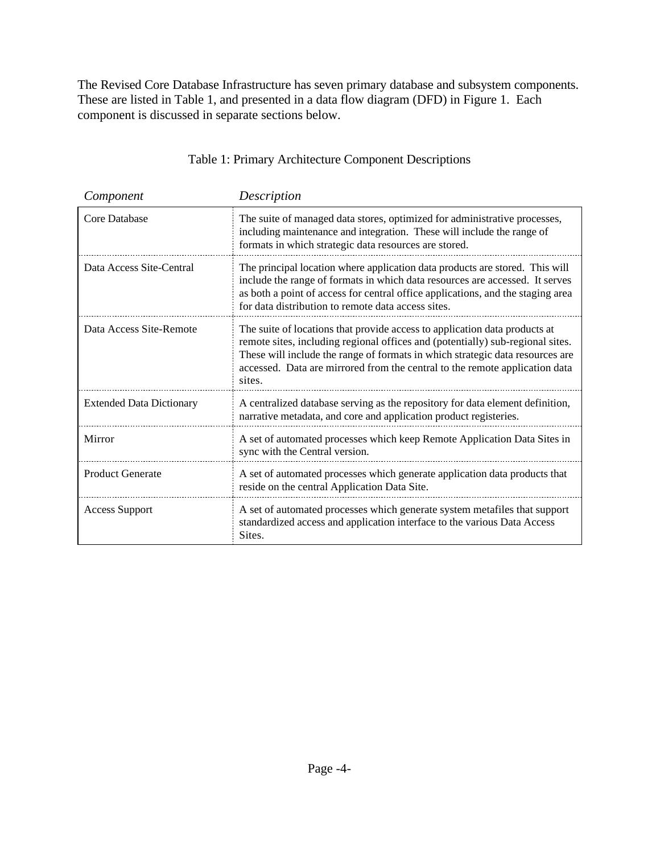The Revised Core Database Infrastructure has seven primary database and subsystem components. These are listed in Table 1, and presented in a data flow diagram (DFD) in Figure 1. Each component is discussed in separate sections below.

| Component                       | Description                                                                                                                                                                                                                                                                                                                            |
|---------------------------------|----------------------------------------------------------------------------------------------------------------------------------------------------------------------------------------------------------------------------------------------------------------------------------------------------------------------------------------|
| Core Database                   | The suite of managed data stores, optimized for administrative processes,<br>including maintenance and integration. These will include the range of<br>formats in which strategic data resources are stored.                                                                                                                           |
| Data Access Site-Central        | The principal location where application data products are stored. This will<br>include the range of formats in which data resources are accessed. It serves<br>as both a point of access for central office applications, and the staging area<br>for data distribution to remote data access sites.                                  |
| Data Access Site-Remote         | The suite of locations that provide access to application data products at<br>remote sites, including regional offices and (potentially) sub-regional sites.<br>These will include the range of formats in which strategic data resources are<br>accessed. Data are mirrored from the central to the remote application data<br>sites. |
| <b>Extended Data Dictionary</b> | A centralized database serving as the repository for data element definition,<br>narrative metadata, and core and application product registeries.                                                                                                                                                                                     |
| Mirror                          | A set of automated processes which keep Remote Application Data Sites in<br>sync with the Central version.                                                                                                                                                                                                                             |
| <b>Product Generate</b>         | A set of automated processes which generate application data products that<br>reside on the central Application Data Site.                                                                                                                                                                                                             |
| <b>Access Support</b>           | A set of automated processes which generate system metafiles that support<br>standardized access and application interface to the various Data Access<br>Sites.                                                                                                                                                                        |

#### Table 1: Primary Architecture Component Descriptions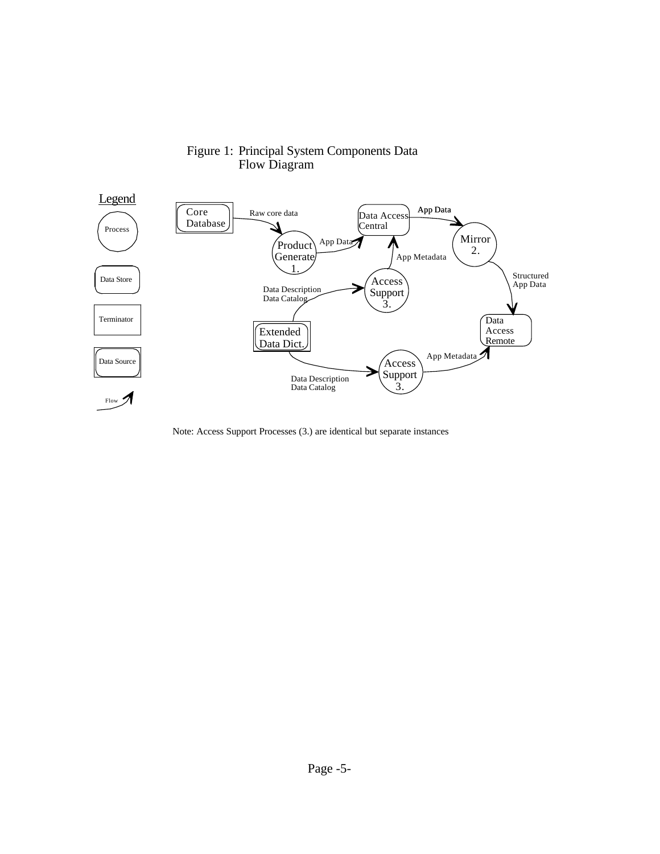

#### Figure 1: Principal System Components Data Flow Diagram

Note: Access Support Processes (3.) are identical but separate instances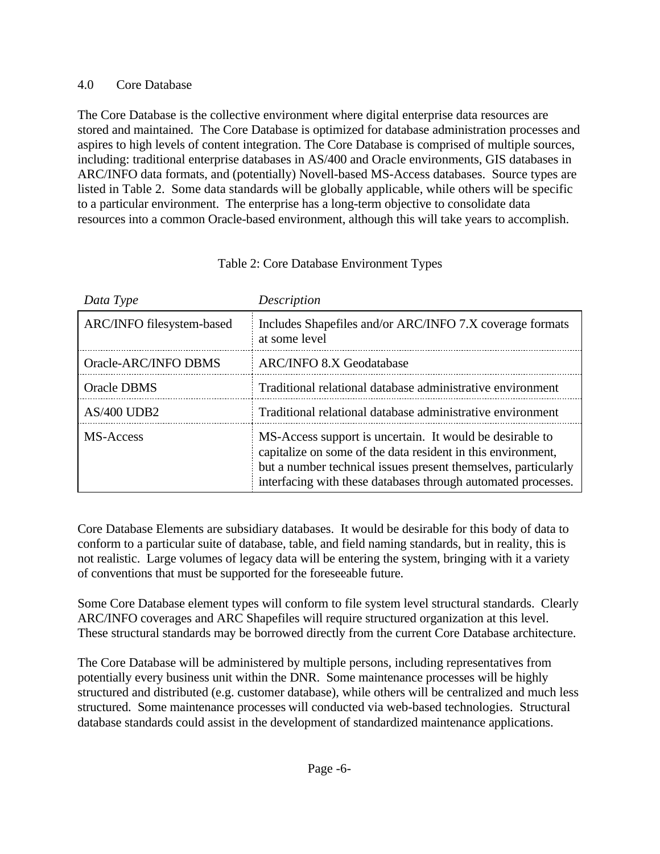#### 4.0 Core Database

The Core Database is the collective environment where digital enterprise data resources are stored and maintained. The Core Database is optimized for database administration processes and aspires to high levels of content integration. The Core Database is comprised of multiple sources, including: traditional enterprise databases in AS/400 and Oracle environments, GIS databases in ARC/INFO data formats, and (potentially) Novell-based MS-Access databases. Source types are listed in Table 2. Some data standards will be globally applicable, while others will be specific to a particular environment. The enterprise has a long-term objective to consolidate data resources into a common Oracle-based environment, although this will take years to accomplish.

| Data Type                 | Description                                                                                                                                                                                                                                                 |
|---------------------------|-------------------------------------------------------------------------------------------------------------------------------------------------------------------------------------------------------------------------------------------------------------|
| ARC/INFO filesystem-based | Includes Shapefiles and/or ARC/INFO 7.X coverage formats<br>at some level                                                                                                                                                                                   |
| Oracle-ARC/INFO DBMS      | <b>ARC/INFO 8.X Geodatabase</b>                                                                                                                                                                                                                             |
| <b>Oracle DBMS</b>        | Traditional relational database administrative environment                                                                                                                                                                                                  |
| <b>AS/400 UDB2</b>        | Traditional relational database administrative environment                                                                                                                                                                                                  |
| MS-Access                 | MS-Access support is uncertain. It would be desirable to<br>capitalize on some of the data resident in this environment,<br>but a number technical issues present themselves, particularly<br>interfacing with these databases through automated processes. |

#### Table 2: Core Database Environment Types

Core Database Elements are subsidiary databases. It would be desirable for this body of data to conform to a particular suite of database, table, and field naming standards, but in reality, this is not realistic. Large volumes of legacy data will be entering the system, bringing with it a variety of conventions that must be supported for the foreseeable future.

Some Core Database element types will conform to file system level structural standards. Clearly ARC/INFO coverages and ARC Shapefiles will require structured organization at this level. These structural standards may be borrowed directly from the current Core Database architecture.

The Core Database will be administered by multiple persons, including representatives from potentially every business unit within the DNR. Some maintenance processes will be highly structured and distributed (e.g. customer database), while others will be centralized and much less structured. Some maintenance processes will conducted via web-based technologies. Structural database standards could assist in the development of standardized maintenance applications.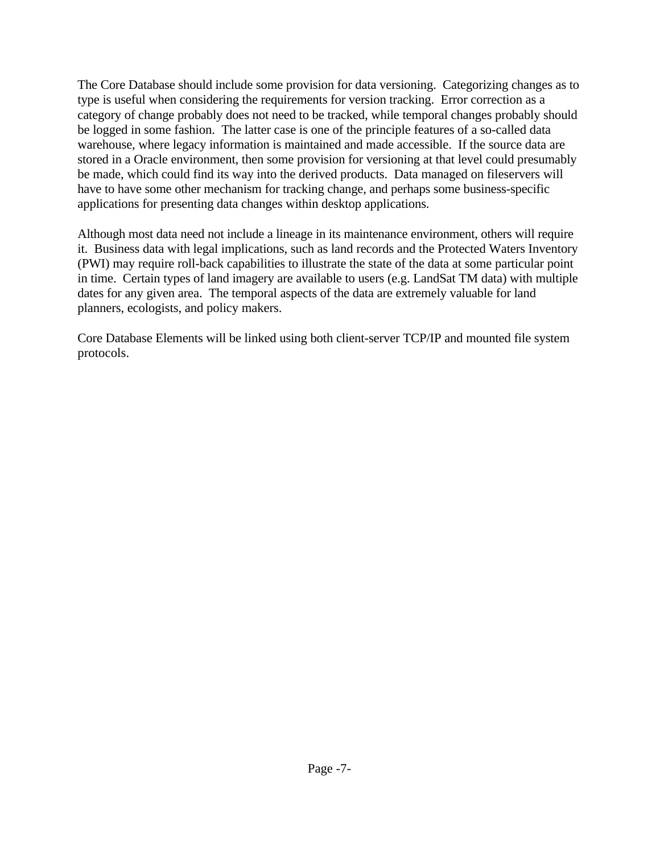The Core Database should include some provision for data versioning. Categorizing changes as to type is useful when considering the requirements for version tracking. Error correction as a category of change probably does not need to be tracked, while temporal changes probably should be logged in some fashion. The latter case is one of the principle features of a so-called data warehouse, where legacy information is maintained and made accessible. If the source data are stored in a Oracle environment, then some provision for versioning at that level could presumably be made, which could find its way into the derived products. Data managed on fileservers will have to have some other mechanism for tracking change, and perhaps some business-specific applications for presenting data changes within desktop applications.

Although most data need not include a lineage in its maintenance environment, others will require it. Business data with legal implications, such as land records and the Protected Waters Inventory (PWI) may require roll-back capabilities to illustrate the state of the data at some particular point in time. Certain types of land imagery are available to users (e.g. LandSat TM data) with multiple dates for any given area. The temporal aspects of the data are extremely valuable for land planners, ecologists, and policy makers.

Core Database Elements will be linked using both client-server TCP/IP and mounted file system protocols.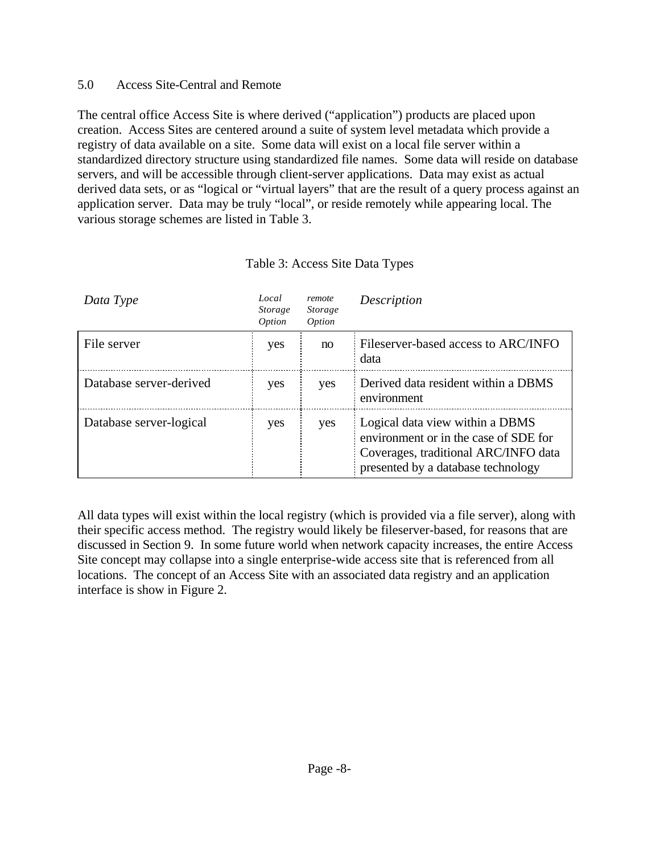#### 5.0 Access Site-Central and Remote

The central office Access Site is where derived ("application") products are placed upon creation. Access Sites are centered around a suite of system level metadata which provide a registry of data available on a site. Some data will exist on a local file server within a standardized directory structure using standardized file names. Some data will reside on database servers, and will be accessible through client-server applications. Data may exist as actual derived data sets, or as "logical or "virtual layers" that are the result of a query process against an application server. Data may be truly "local", or reside remotely while appearing local. The various storage schemes are listed in Table 3.

| Data Type               | Local<br><i>Storage</i><br><i>Option</i> | remote<br><i>Storage</i><br>Option | Description                                                                                                                                            |
|-------------------------|------------------------------------------|------------------------------------|--------------------------------------------------------------------------------------------------------------------------------------------------------|
| File server             | yes                                      | no                                 | Fileserver-based access to ARC/INFO<br>data                                                                                                            |
| Database server-derived | yes                                      | yes                                | Derived data resident within a DBMS<br>environment                                                                                                     |
| Database server-logical | yes                                      | yes                                | Logical data view within a DBMS<br>environment or in the case of SDE for<br>Coverages, traditional ARC/INFO data<br>presented by a database technology |

#### Table 3: Access Site Data Types

All data types will exist within the local registry (which is provided via a file server), along with their specific access method. The registry would likely be fileserver-based, for reasons that are discussed in Section 9. In some future world when network capacity increases, the entire Access Site concept may collapse into a single enterprise-wide access site that is referenced from all locations. The concept of an Access Site with an associated data registry and an application interface is show in Figure 2.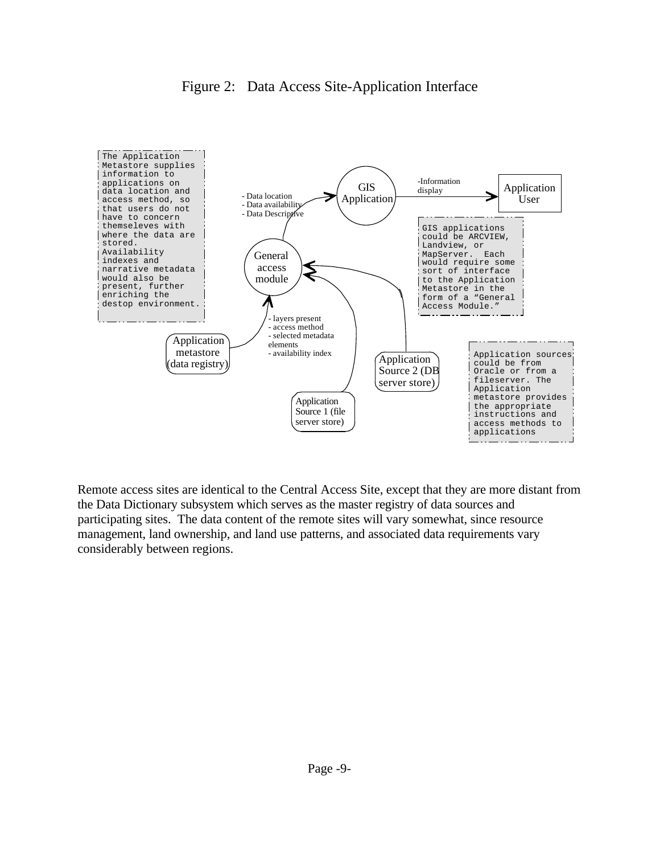

Figure 2: Data Access Site-Application Interface

Remote access sites are identical to the Central Access Site, except that they are more distant from the Data Dictionary subsystem which serves as the master registry of data sources and participating sites. The data content of the remote sites will vary somewhat, since resource management, land ownership, and land use patterns, and associated data requirements vary considerably between regions.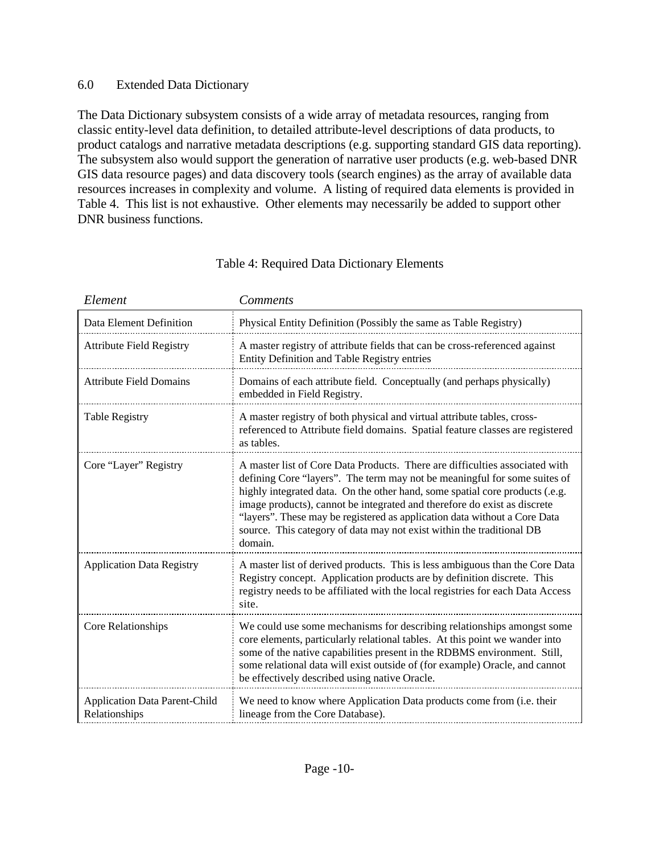#### 6.0 Extended Data Dictionary

The Data Dictionary subsystem consists of a wide array of metadata resources, ranging from classic entity-level data definition, to detailed attribute-level descriptions of data products, to product catalogs and narrative metadata descriptions (e.g. supporting standard GIS data reporting). The subsystem also would support the generation of narrative user products (e.g. web-based DNR GIS data resource pages) and data discovery tools (search engines) as the array of available data resources increases in complexity and volume. A listing of required data elements is provided in Table 4. This list is not exhaustive. Other elements may necessarily be added to support other DNR business functions.

| Element                                               | Comments                                                                                                                                                                                                                                                                                                                                                                                                                                                                              |
|-------------------------------------------------------|---------------------------------------------------------------------------------------------------------------------------------------------------------------------------------------------------------------------------------------------------------------------------------------------------------------------------------------------------------------------------------------------------------------------------------------------------------------------------------------|
| Data Element Definition                               | Physical Entity Definition (Possibly the same as Table Registry)                                                                                                                                                                                                                                                                                                                                                                                                                      |
| <b>Attribute Field Registry</b>                       | A master registry of attribute fields that can be cross-referenced against<br>Entity Definition and Table Registry entries                                                                                                                                                                                                                                                                                                                                                            |
| <b>Attribute Field Domains</b>                        | Domains of each attribute field. Conceptually (and perhaps physically)<br>embedded in Field Registry.                                                                                                                                                                                                                                                                                                                                                                                 |
| <b>Table Registry</b>                                 | A master registry of both physical and virtual attribute tables, cross-<br>referenced to Attribute field domains. Spatial feature classes are registered<br>as tables.                                                                                                                                                                                                                                                                                                                |
| Core "Layer" Registry                                 | A master list of Core Data Products. There are difficulties associated with<br>defining Core "layers". The term may not be meaningful for some suites of<br>highly integrated data. On the other hand, some spatial core products (.e.g.<br>image products), cannot be integrated and therefore do exist as discrete<br>"layers". These may be registered as application data without a Core Data<br>source. This category of data may not exist within the traditional DB<br>domain. |
| <b>Application Data Registry</b>                      | A master list of derived products. This is less ambiguous than the Core Data<br>Registry concept. Application products are by definition discrete. This<br>registry needs to be affiliated with the local registries for each Data Access<br>site.                                                                                                                                                                                                                                    |
| Core Relationships                                    | We could use some mechanisms for describing relationships amongst some<br>core elements, particularly relational tables. At this point we wander into<br>some of the native capabilities present in the RDBMS environment. Still,<br>some relational data will exist outside of (for example) Oracle, and cannot<br>be effectively described using native Oracle.                                                                                                                     |
| <b>Application Data Parent-Child</b><br>Relationships | We need to know where Application Data products come from (i.e. their<br>lineage from the Core Database).                                                                                                                                                                                                                                                                                                                                                                             |

### Table 4: Required Data Dictionary Elements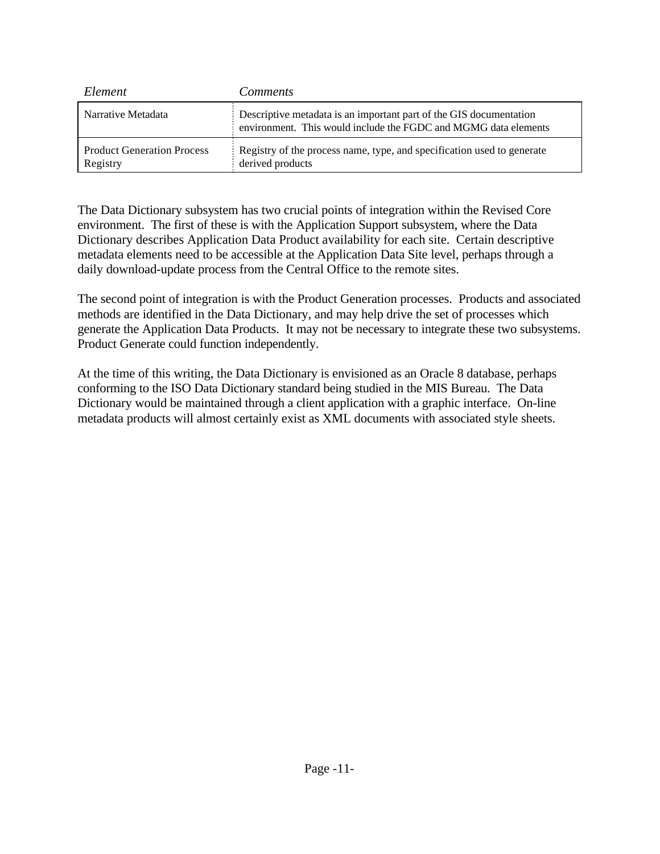| Element                                       | <i>Comments</i>                                                                                                                       |
|-----------------------------------------------|---------------------------------------------------------------------------------------------------------------------------------------|
| Narrative Metadata                            | Descriptive metadata is an important part of the GIS documentation<br>environment. This would include the FGDC and MGMG data elements |
| <b>Product Generation Process</b><br>Registry | Registry of the process name, type, and specification used to generate<br>derived products                                            |

The Data Dictionary subsystem has two crucial points of integration within the Revised Core environment. The first of these is with the Application Support subsystem, where the Data Dictionary describes Application Data Product availability for each site. Certain descriptive metadata elements need to be accessible at the Application Data Site level, perhaps through a daily download-update process from the Central Office to the remote sites.

The second point of integration is with the Product Generation processes. Products and associated methods are identified in the Data Dictionary, and may help drive the set of processes which generate the Application Data Products. It may not be necessary to integrate these two subsystems. Product Generate could function independently.

At the time of this writing, the Data Dictionary is envisioned as an Oracle 8 database, perhaps conforming to the ISO Data Dictionary standard being studied in the MIS Bureau. The Data Dictionary would be maintained through a client application with a graphic interface. On-line metadata products will almost certainly exist as XML documents with associated style sheets.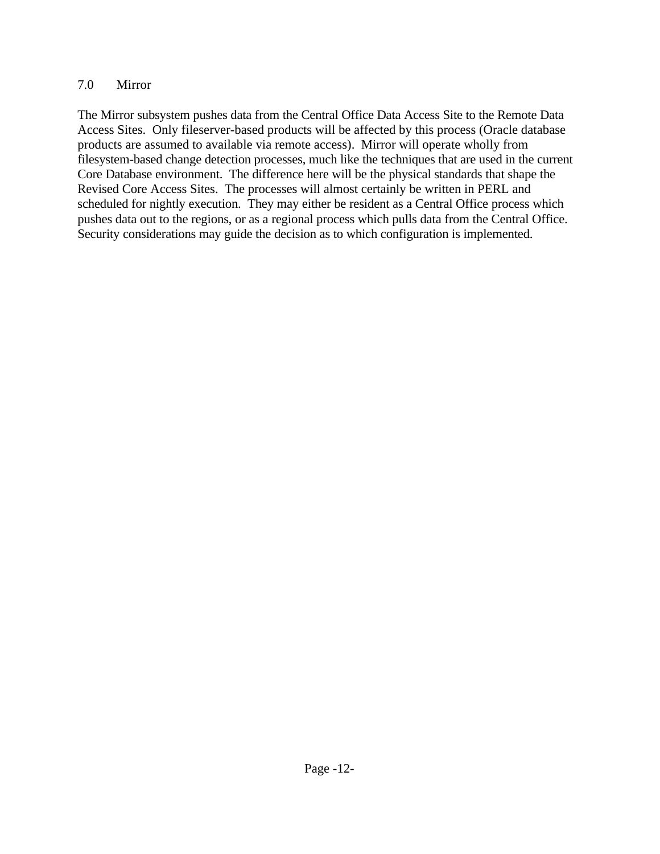#### 7.0 Mirror

The Mirror subsystem pushes data from the Central Office Data Access Site to the Remote Data Access Sites. Only fileserver-based products will be affected by this process (Oracle database products are assumed to available via remote access). Mirror will operate wholly from filesystem-based change detection processes, much like the techniques that are used in the current Core Database environment. The difference here will be the physical standards that shape the Revised Core Access Sites. The processes will almost certainly be written in PERL and scheduled for nightly execution. They may either be resident as a Central Office process which pushes data out to the regions, or as a regional process which pulls data from the Central Office. Security considerations may guide the decision as to which configuration is implemented.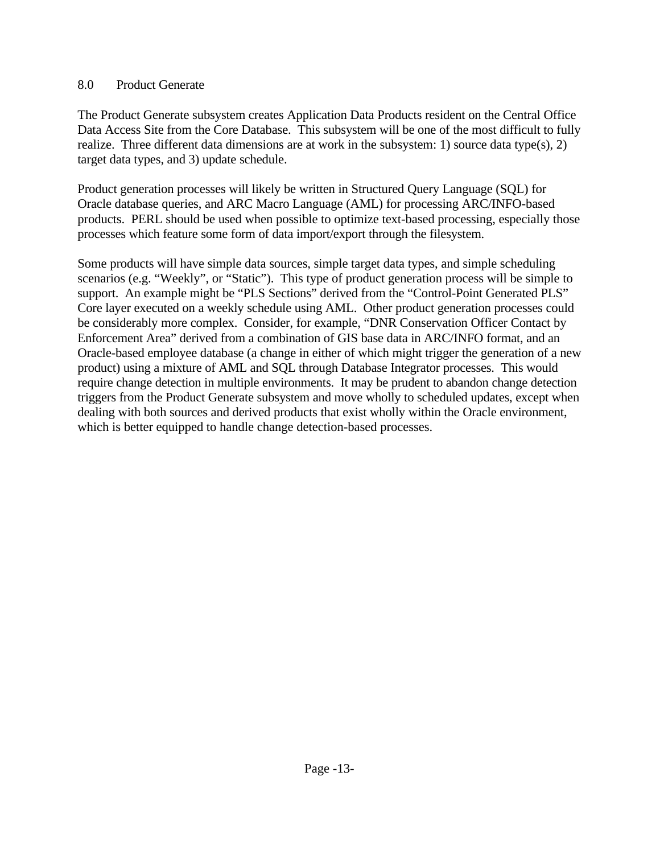#### 8.0 Product Generate

The Product Generate subsystem creates Application Data Products resident on the Central Office Data Access Site from the Core Database. This subsystem will be one of the most difficult to fully realize. Three different data dimensions are at work in the subsystem: 1) source data type(s), 2) target data types, and 3) update schedule.

Product generation processes will likely be written in Structured Query Language (SQL) for Oracle database queries, and ARC Macro Language (AML) for processing ARC/INFO-based products. PERL should be used when possible to optimize text-based processing, especially those processes which feature some form of data import/export through the filesystem.

Some products will have simple data sources, simple target data types, and simple scheduling scenarios (e.g. "Weekly", or "Static"). This type of product generation process will be simple to support. An example might be "PLS Sections" derived from the "Control-Point Generated PLS" Core layer executed on a weekly schedule using AML. Other product generation processes could be considerably more complex. Consider, for example, "DNR Conservation Officer Contact by Enforcement Area" derived from a combination of GIS base data in ARC/INFO format, and an Oracle-based employee database (a change in either of which might trigger the generation of a new product) using a mixture of AML and SQL through Database Integrator processes. This would require change detection in multiple environments. It may be prudent to abandon change detection triggers from the Product Generate subsystem and move wholly to scheduled updates, except when dealing with both sources and derived products that exist wholly within the Oracle environment, which is better equipped to handle change detection-based processes.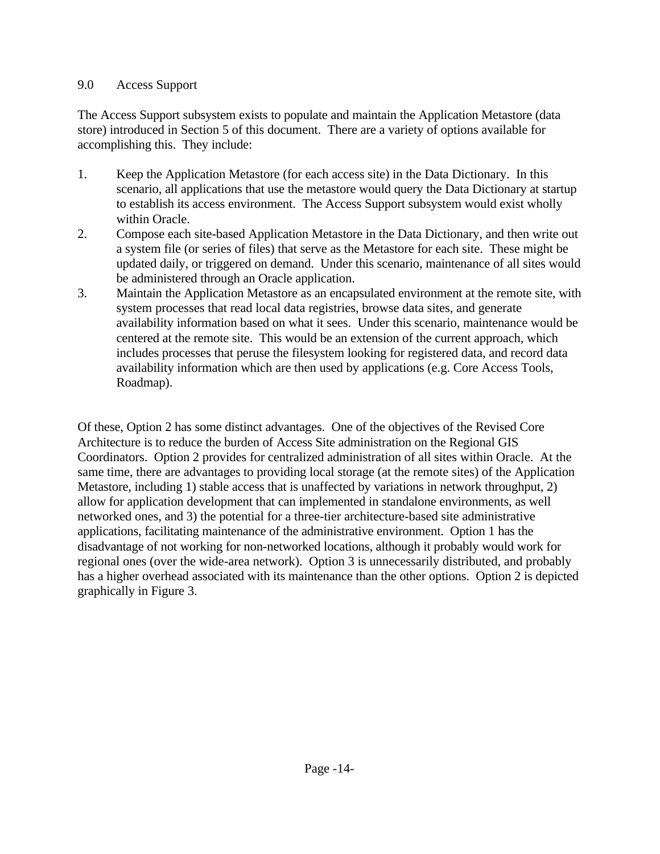#### 9.0 Access Support

The Access Support subsystem exists to populate and maintain the Application Metastore (data store) introduced in Section 5 of this document. There are a variety of options available for accomplishing this. They include:

- 1. Keep the Application Metastore (for each access site) in the Data Dictionary. In this scenario, all applications that use the metastore would query the Data Dictionary at startup to establish its access environment. The Access Support subsystem would exist wholly within Oracle.
- 2. Compose each site-based Application Metastore in the Data Dictionary, and then write out a system file (or series of files) that serve as the Metastore for each site. These might be updated daily, or triggered on demand. Under this scenario, maintenance of all sites would be administered through an Oracle application.
- 3. Maintain the Application Metastore as an encapsulated environment at the remote site, with system processes that read local data registries, browse data sites, and generate availability information based on what it sees. Under this scenario, maintenance would be centered at the remote site. This would be an extension of the current approach, which includes processes that peruse the filesystem looking for registered data, and record data availability information which are then used by applications (e.g. Core Access Tools, Roadmap).

Of these, Option 2 has some distinct advantages. One of the objectives of the Revised Core Architecture is to reduce the burden of Access Site administration on the Regional GIS Coordinators. Option 2 provides for centralized administration of all sites within Oracle. At the same time, there are advantages to providing local storage (at the remote sites) of the Application Metastore, including 1) stable access that is unaffected by variations in network throughput, 2) allow for application development that can implemented in standalone environments, as well networked ones, and 3) the potential for a three-tier architecture-based site administrative applications, facilitating maintenance of the administrative environment. Option 1 has the disadvantage of not working for non-networked locations, although it probably would work for regional ones (over the wide-area network). Option 3 is unnecessarily distributed, and probably has a higher overhead associated with its maintenance than the other options. Option 2 is depicted graphically in Figure 3.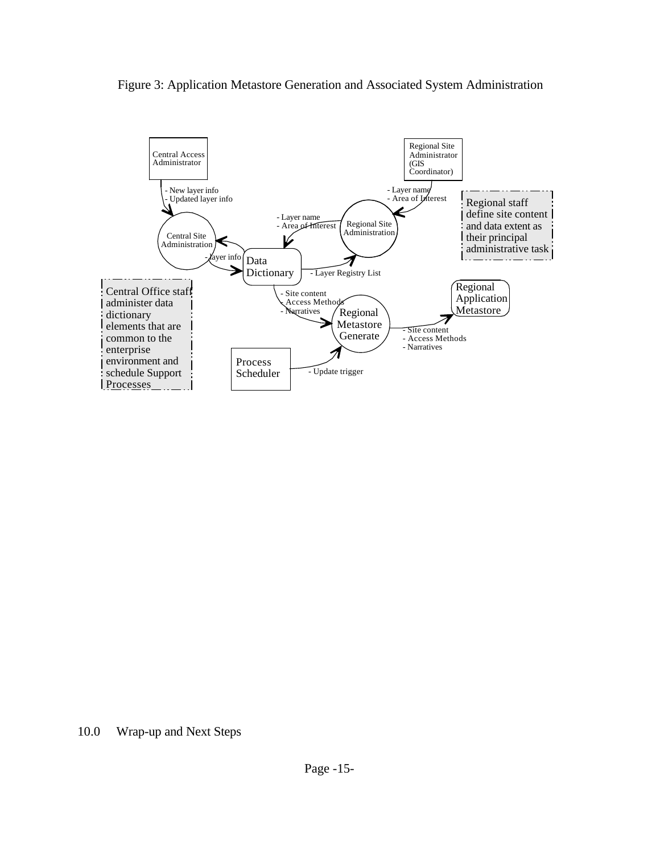

Figure 3: Application Metastore Generation and Associated System Administration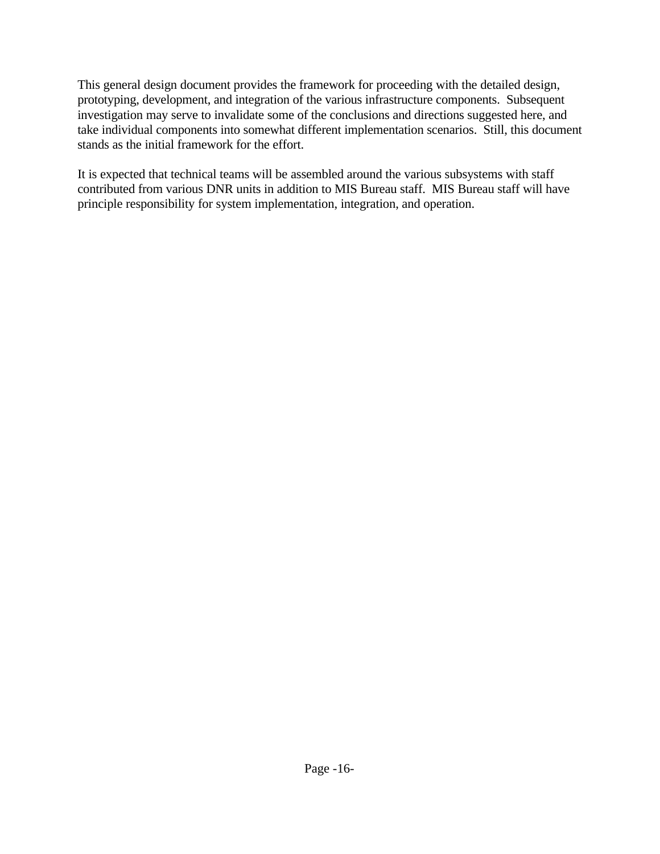This general design document provides the framework for proceeding with the detailed design, prototyping, development, and integration of the various infrastructure components. Subsequent investigation may serve to invalidate some of the conclusions and directions suggested here, and take individual components into somewhat different implementation scenarios. Still, this document stands as the initial framework for the effort.

It is expected that technical teams will be assembled around the various subsystems with staff contributed from various DNR units in addition to MIS Bureau staff. MIS Bureau staff will have principle responsibility for system implementation, integration, and operation.